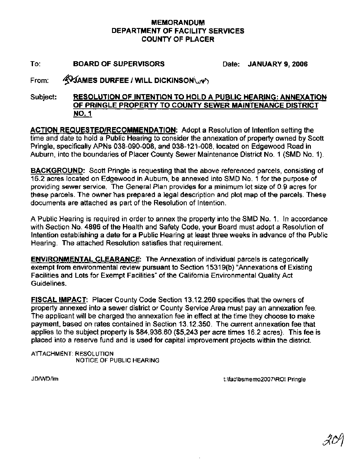## **MEMORANDUM DEPARTMENT OF FACILITY SERVICES COUNTY OF PLACER**

To: **BOARD OF SUPERVISORS** Date: **JANUARY 9, 2006** 

From: **WAMES DURFEE / WILL DICKINSON** 

Subject: **RESOLUTION OF INTENTION TO HOLD A PUBLIC HEARING: ANNEXATION OF PRINGLE PROPERTY TO COUNTY SEWER MAINTENANCE DISTRICT NO. 1** 

**ACTION REQUESTEDIRECOMMENDATION:** Adopt a Resolution of lntention setting the time and date to hold a Public Hearing to consider the annexation of property owned by Scott Pringle, specifically APNs 038-090-008, and 038-121-008, located on Edgewood Road in Auburn, into the boundaries of Placer County Sewer Maintenance District No. 1 (SMD No. 1).

**BACKGROUND:** Scott Pringle is requesting that the above referenced parcels, consisting of 16.2 acres located on Edgewood in Auburn, be annexed into SMD No. 1 for the purpose of providing sewer service. The General Plan provides for a minimum lot size of 0.9 acres for these parcels. The owner has prepared a legal description and plot map of the parcels. These documents are attached as part of the Resolution of Intention.

A Public Hearing is required in order to annex the property into the SMD No. 1. In accordance with Section No. 4896 of the Health and Safety Code, your Board must adopt a Resolution of Intention establishing a date for a Public Hearing at least three weeks in advance of the Public Hearing. The attached Resolution satisfies that requirement.

**ENVIRONMENTAL CLEARANCE:** The Annexation of individual parcels is categorically exempt from environmental review pursuant to Section 15319(b) "Annexations of Existing Facilities and Lots for Exempt Facilities" of the California Environmental Quality Act Guidelines.

**FISCAL IMPACT:** Placer County Code Section 13.12.260 specifies that the owners of property annexed into a sewer district or County Service Area must pay an annexation fee. The applicant will be charged the annexation fee in effect at the time they choose to make payment, based on rates contained in Section 13.12.350. The current annexation fee that applies to the subject property is \$84,936.60 (\$5,243 per acre times 16.2 acres). This fee is placed into a reserve fund and is used for capital improvement projects within the district.

ATTACHMENT: RESOLUTION NOTICE OF PUBLIC HEARING

JDNVDIlm t:\fac\bsmemo2007\ROI Pringle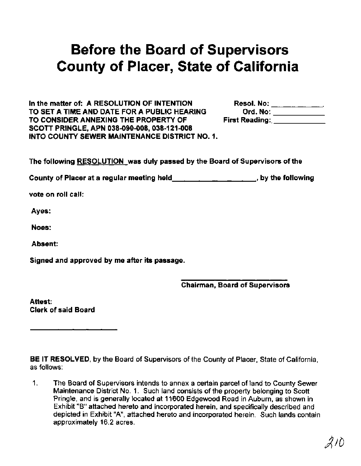## Before the Board of Supervisors County of Placer, State of California

In the matter of: A RESOLUTION OF INTENTION Resol. No: \_\_\_\_\_\_\_\_\_\_\_\_ TO SET A TIME AND DATE FOR A PUBLIC HEARING Ord. No: \_\_\_\_\_\_\_\_\_\_\_\_\_\_\_\_\_\_\_\_\_\_\_\_\_\_\_<br>TO CONSIDER ANNEXING THE PROPERTY OF First Reading: \_\_\_\_\_\_\_\_\_\_\_\_\_\_\_\_\_\_\_\_\_\_\_\_\_\_\_\_ TO CONSIDER ANNEXING THE PROPERTY OF SCOTT PRINGLE, APN 038-090-008, 038-121-008 INTO COUNTY SEWER MAINTENANCE DISTRICT NO. 1.

The following RESOLUTION was duly passed by the Board of Supervisors of the

County of Placer at a regular meeting held  $\mu$ ,  $\mu$ ,  $\mu$ ,  $\mu$ , by the following

vote on roll call:

Ayes:

Noes:

Absent:

Signed and approved by me after its passage.

Chairman, Board of Supervisors

Attest: Clerk of said Board

BE IT RESOLVED, by the Board of Supervisors of the County of Placer, State of California, as follows:

1. The Board of Supervisors intends to annex a certain parcel of land to County Sewer Maintenance District No. 1. Such land consists of the property belonging to Scott Pringle, and is generally located at 11600 Edgewood Road in Auburn, as shown in Exhibit "B" attached hereto and incorporated herein, and specifically described and depicted in Exhibit "A", attached hereto and incorporated herein. Such lands contain approximately 16.2 acres.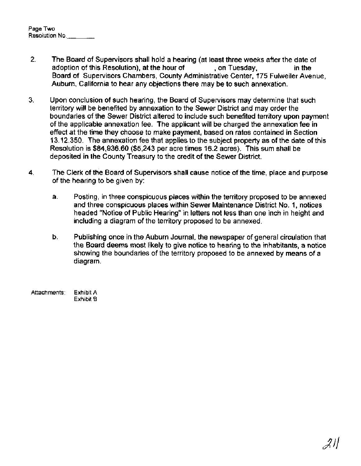| Page Two       |  |
|----------------|--|
| Resolution No. |  |

- **2.** The Board of Supervisors shall hold a hearing (at least three weeks after the date of adoption of this Resolution), at the hour of , on Tuesday, in the Board of Supervisors Chambers, County Administrative Center, 175 Fulweiler Avenue, Auburn, California to hear any objections there may be to such annexation.
- 3. Upon conclusion of such hearing, the Board of Supervisors may determine that such territory will be benefited by annexation to the Sewer District and may order the boundaries of the Sewer District altered to include such benefited territory upon payment of the applicable annexation fee. The applicant will be charged the annexation fee in effect at the time they choose to make payment, based on rates contained in Section 13.12.350. The annexation fee that applies to the subject property as of the date of this Resolution is \$84,936.60 (\$5,243 per acre times 16.2 acres). This sum shall be deposited in the County Treasury to the credit of the Sewer District.
- 4. The Clerk of the Board of Supervisors shall cause notice of the time, place and purpose of the hearing to be given by:
	- a. Posting, in three conspicuous places within the territory proposed to be annexed and three conspicuous places within Sewer Maintenance District No. 1, notices headed "Notice of Public Hearing" in letters not less than one inch in height and including a diagram of the territory proposed to be annexed.
	- b. Publishing once in the Auburn Journal, the newspaper of general circulation that the Board deems most likely to give notice to hearing to the inhabitants, a notice showing the boundaries of the territory proposed to be annexed by means of a diagram.
- **Attachments: Exhibit A Exhibit B**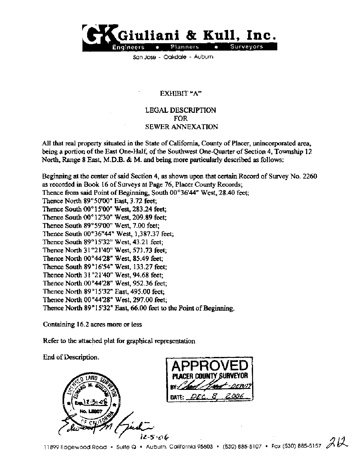

Son Jose - Oakdale - Auburn

## EXHIBIT "A"

## LEGAL DESCRIPTION FOR SEWER ANNEXATION

All that real property situated in the State of California, County of Placer, unincorporated *ma,*  being a portion of the East One-Half, of the Southwest One-Quarter of Section **4,** Township **12**  North, Range **8** East, M.D.B. & M. and being more particularly described as follows:

Beginning at the center of said Section **4, as** shown upon that certain Record of Survey No. **2260**  as recorded **in Book 16** of Surveys **at** Page **76,** Placer County Records; Thence fiom said Point of Beginning, South **00°36'44"** West, **28.40** feet; Thence North **89 "50'00"** East, **3.72** feet; Thence South **00 O 1 5'00"** West, **283.24** feet; Thence South **00°12'30" West, 209.89 feet;**  Thence South **89** " **59'00"** West, **7.00** feet; Thence South **00°36"44"** West, **1,387.37** feet; Thence South **89" 15'32"** West, **43.21** feet; Thence North **31 "21'40"** West, **571.73** feet; Thence North **00°44'28"** West, **85.49** feet; Thence South **89" 16'54"** West, **133.27** feet; Thence North **3 1 "21'40"** West, **94.68** feet; Thence North **00 "44'28"** West, **952.36** feet; Thence North **89" 15'32"** East, **495.00** feet; Thence North **00 "4428"** West, **297.00** feet; Thence North **89"** 1 **5'32" East, 66.00** feet **to** the Point of Beginning.

Containing **16.2** acres more or less

Refer to the attached plat for graphical representation

End of Description. 12-5*-06*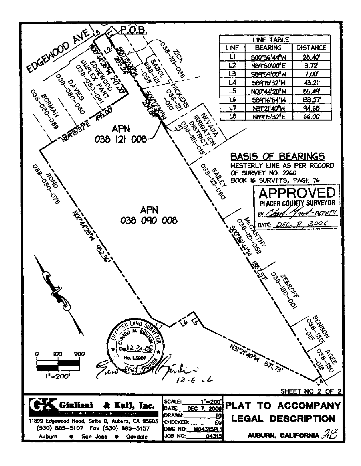